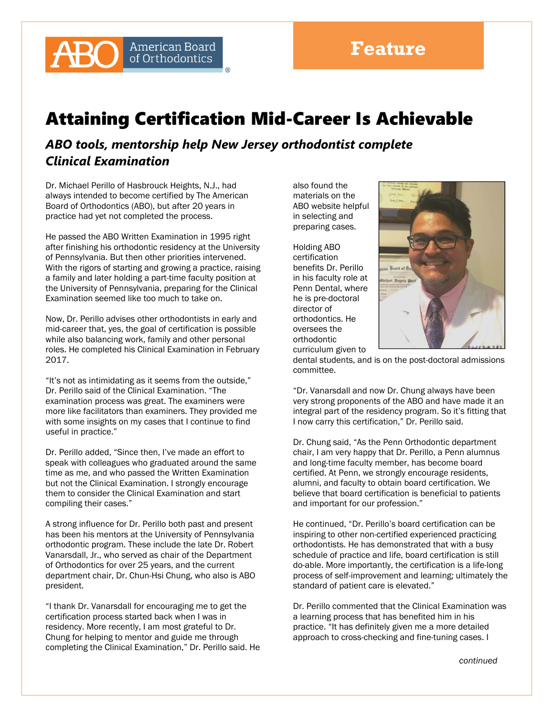

## Attaining Certification Mid-Career Is Achievable

*ABO tools, mentorship help New Jersey orthodontist complete Clinical Examination* 

Dr. Michael Perillo of Hasbrouck Heights, N.J., had always intended to become certified by The American Board of Orthodontics (ABO), but after 20 years in practice had yet not completed the process.

He passed the ABO Written Examination in 1995 right after finishing his orthodontic residency at the University of Pennsylvania. But then other priorities intervened. With the rigors of starting and growing a practice, raising a family and later holding a part-time faculty position at the University of Pennsylvania, preparing for the Clinical Examination seemed like too much to take on.

Now, Dr. Perillo advises other orthodontists in early and mid-career that, yes, the goal of certification is possible while also balancing work, family and other personal roles. He completed his Clinical Examination in February 2017.

"It's not as intimidating as it seems from the outside," Dr. Perillo said of the Clinical Examination. "The examination process was great. The examiners were more like facilitators than examiners. They provided me with some insights on my cases that I continue to find useful in practice."

Dr. Perillo added, "Since then, I've made an effort to speak with colleagues who graduated around the same time as me, and who passed the Written Examination but not the Clinical Examination. I strongly encourage them to consider the Clinical Examination and start compiling their cases."

A strong influence for Dr. Perillo both past and present has been his mentors at the University of Pennsylvania orthodontic program. These include the late Dr. Robert Vanarsdall, Jr., who served as chair of the Department of Orthodontics for over 25 years, and the current department chair, Dr. Chun-Hsi Chung, who also is ABO president.

"I thank Dr. Vanarsdall for encouraging me to get the certification process started back when I was in residency. More recently, I am most grateful to Dr. Chung for helping to mentor and guide me through completing the Clinical Examination," Dr. Perillo said. He also found the materials on the ABO website helpful in selecting and preparing cases.

Holding ABO certification benefits Dr. Perillo in his faculty role at Penn Dental, where he is pre-doctoral director of orthodontics. He oversees the orthodontic curriculum given to



dental students, and is on the post-doctoral admissions committee.

"Dr. Vanarsdall and now Dr. Chung always have been very strong proponents of the ABO and have made it an integral part of the residency program. So it's fitting that I now carry this certification," Dr. Perillo said.

Dr. Chung said, "As the Penn Orthodontic department chair, I am very happy that Dr. Perillo, a Penn alumnus and long-time faculty member, has become board certified. At Penn, we strongly encourage residents, alumni, and faculty to obtain board certification. We believe that board certification is beneficial to patients and important for our profession."

He continued, "Dr. Perillo's board certification can be inspiring to other non-certified experienced practicing orthodontists. He has demonstrated that with a busy schedule of practice and life, board certification is still do-able. More importantly, the certification is a life-long process of self-improvement and learning; ultimately the standard of patient care is elevated."

Dr. Perillo commented that the Clinical Examination was a learning process that has benefited him in his practice. "It has definitely given me a more detailed approach to cross-checking and fine-tuning cases. I